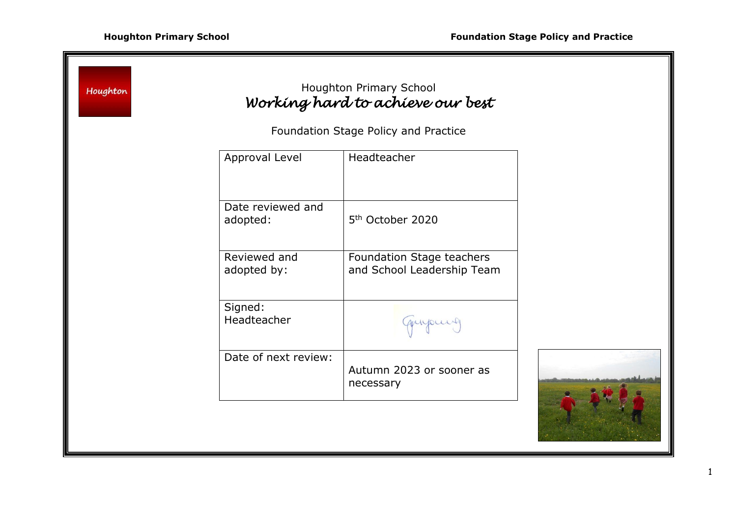| Houghton                             |                               | Houghton Primary School<br>Working hard to achieve our best |  |
|--------------------------------------|-------------------------------|-------------------------------------------------------------|--|
| Foundation Stage Policy and Practice |                               |                                                             |  |
|                                      | Approval Level                | Headteacher                                                 |  |
|                                      | Date reviewed and<br>adopted: | 5 <sup>th</sup> October 2020                                |  |
|                                      | Reviewed and<br>adopted by:   | Foundation Stage teachers<br>and School Leadership Team     |  |
|                                      | Signed:<br>Headteacher        |                                                             |  |
|                                      | Date of next review:          | Autumn 2023 or sooner as<br>necessary                       |  |
|                                      |                               |                                                             |  |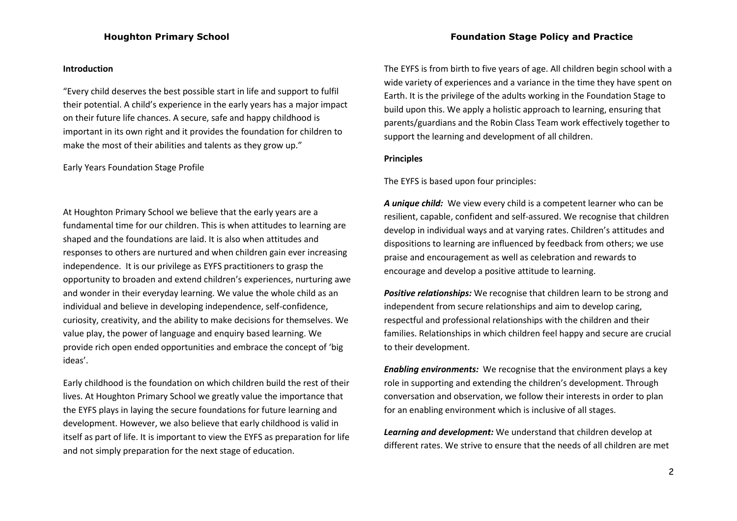#### **Introduction**

"Every child deserves the best possible start in life and support to fulfil their potential. A child's experience in the early years has a major impact on their future life chances. A secure, safe and happy childhood is important in its own right and it provides the foundation for children to make the most of their abilities and talents as they grow up."

#### Early Years Foundation Stage Profile

At Houghton Primary School we believe that the early years are a fundamental time for our children. This is when attitudes to learning are shaped and the foundations are laid. It is also when attitudes and responses to others are nurtured and when children gain ever increasing independence. It is our privilege as EYFS practitioners to grasp the opportunity to broaden and extend children's experiences, nurturing awe and wonder in their everyday learning. We value the whole child as an individual and believe in developing independence, self-confidence, curiosity, creativity, and the ability to make decisions for themselves. We value play, the power of language and enquiry based learning. We provide rich open ended opportunities and embrace the concept of 'big ideas'.

Early childhood is the foundation on which children build the rest of their lives. At Houghton Primary School we greatly value the importance that the EYFS plays in laying the secure foundations for future learning and development. However, we also believe that early childhood is valid in itself as part of life. It is important to view the EYFS as preparation for life and not simply preparation for the next stage of education.

The EYFS is from birth to five years of age. All children begin school with a wide variety of experiences and a variance in the time they have spent on Earth. It is the privilege of the adults working in the Foundation Stage to build upon this. We apply a holistic approach to learning, ensuring that parents/guardians and the Robin Class Team work effectively together to support the learning and development of all children.

#### **Principles**

The EYFS is based upon four principles:

*A unique child:*We view every child is a competent learner who can be resilient, capable, confident and self-assured. We recognise that children develop in individual ways and at varying rates. Children's attitudes and dispositions to learning are influenced by feedback from others; we use praise and encouragement as well as celebration and rewards to encourage and develop a positive attitude to learning.

*Positive relationships:* We recognise that children learn to be strong and independent from secure relationships and aim to develop caring, respectful and professional relationships with the children and their families. Relationships in which children feel happy and secure are crucial to their development.

*Enabling environments:* We recognise that the environment plays a key role in supporting and extending the children's development. Through conversation and observation, we follow their interests in order to plan for an enabling environment which is inclusive of all stages.

*Learning and development:* We understand that children develop at different rates. We strive to ensure that the needs of all children are met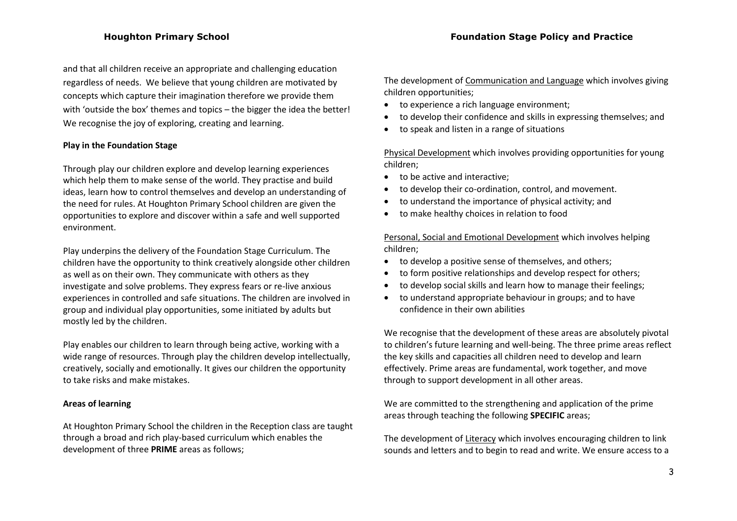and that all children receive an appropriate and challenging education regardless of needs. We believe that young children are motivated by concepts which capture their imagination therefore we provide them with 'outside the box' themes and topics – the bigger the idea the better! We recognise the joy of exploring, creating and learning.

## **Play in the Foundation Stage**

Through play our children explore and develop learning experiences which help them to make sense of the world. They practise and build ideas, learn how to control themselves and develop an understanding of the need for rules. At Houghton Primary School children are given the opportunities to explore and discover within a safe and well supported environment.

Play underpins the delivery of the Foundation Stage Curriculum. The children have the opportunity to think creatively alongside other children as well as on their own. They communicate with others as they investigate and solve problems. They express fears or re-live anxious experiences in controlled and safe situations. The children are involved in group and individual play opportunities, some initiated by adults but mostly led by the children.

Play enables our children to learn through being active, working with a wide range of resources. Through play the children develop intellectually, creatively, socially and emotionally. It gives our children the opportunity to take risks and make mistakes.

## **Areas of learning**

At Houghton Primary School the children in the Reception class are taught through a broad and rich play-based curriculum which enables the development of three **PRIME** areas as follows;

The development of Communication and Language which involves giving children opportunities;

- to experience a rich language environment;
- to develop their confidence and skills in expressing themselves; and
- to speak and listen in a range of situations

Physical Development which involves providing opportunities for young children;

- to be active and interactive;
- to develop their co-ordination, control, and movement.
- to understand the importance of physical activity; and
- to make healthy choices in relation to food

Personal, Social and Emotional Development which involves helping children;

- to develop a positive sense of themselves, and others;
- to form positive relationships and develop respect for others;
- to develop social skills and learn how to manage their feelings;
- to understand appropriate behaviour in groups; and to have confidence in their own abilities

We recognise that the development of these areas are absolutely pivotal to children's future learning and well-being. The three prime areas reflect the key skills and capacities all children need to develop and learn effectively. Prime areas are fundamental, work together, and move through to support development in all other areas.

We are committed to the strengthening and application of the prime areas through teaching the following **SPECIFIC** areas;

The development of Literacy which involves encouraging children to link sounds and letters and to begin to read and write. We ensure access to a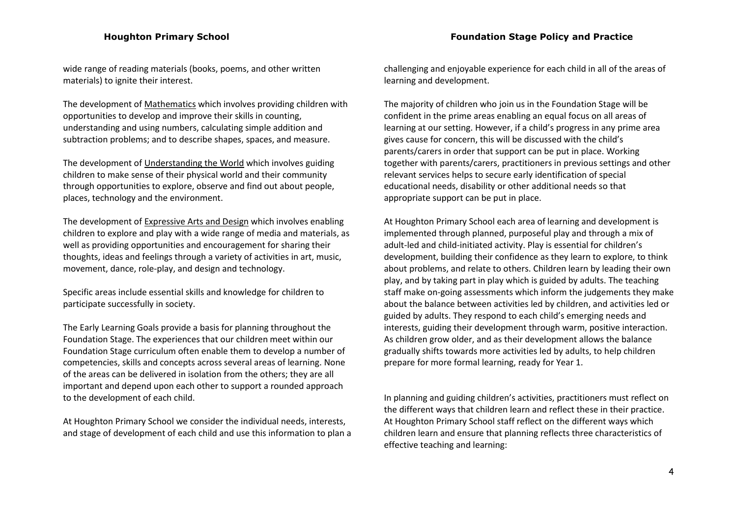wide range of reading materials (books, poems, and other written materials) to ignite their interest.

The development of Mathematics which involves providing children with opportunities to develop and improve their skills in counting, understanding and using numbers, calculating simple addition and subtraction problems; and to describe shapes, spaces, and measure.

The development of Understanding the World which involves guiding children to make sense of their physical world and their community through opportunities to explore, observe and find out about people, places, technology and the environment.

The development of Expressive Arts and Design which involves enabling children to explore and play with a wide range of media and materials, as well as providing opportunities and encouragement for sharing their thoughts, ideas and feelings through a variety of activities in art, music, movement, dance, role-play, and design and technology.

Specific areas include essential skills and knowledge for children to participate successfully in society.

The Early Learning Goals provide a basis for planning throughout the Foundation Stage. The experiences that our children meet within our Foundation Stage curriculum often enable them to develop a number of competencies, skills and concepts across several areas of learning. None of the areas can be delivered in isolation from the others; they are all important and depend upon each other to support a rounded approach to the development of each child.

At Houghton Primary School we consider the individual needs, interests, and stage of development of each child and use this information to plan a challenging and enjoyable experience for each child in all of the areas of learning and development.

The majority of children who join us in the Foundation Stage will be confident in the prime areas enabling an equal focus on all areas of learning at our setting. However, if a child's progress in any prime area gives cause for concern, this will be discussed with the child's parents/carers in order that support can be put in place. Working together with parents/carers, practitioners in previous settings and other relevant services helps to secure early identification of special educational needs, disability or other additional needs so that appropriate support can be put in place.

At Houghton Primary School each area of learning and development is implemented through planned, purposeful play and through a mix of adult-led and child-initiated activity. Play is essential for children's development, building their confidence as they learn to explore, to think about problems, and relate to others. Children learn by leading their own play, and by taking part in play which is guided by adults. The teaching staff make on-going assessments which inform the judgements they make about the balance between activities led by children, and activities led or guided by adults. They respond to each child's emerging needs and interests, guiding their development through warm, positive interaction. As children grow older, and as their development allows the balance gradually shifts towards more activities led by adults, to help children prepare for more formal learning, ready for Year 1.

In planning and guiding children's activities, practitioners must reflect on the different ways that children learn and reflect these in their practice. At Houghton Primary School staff reflect on the different ways which children learn and ensure that planning reflects three characteristics of effective teaching and learning: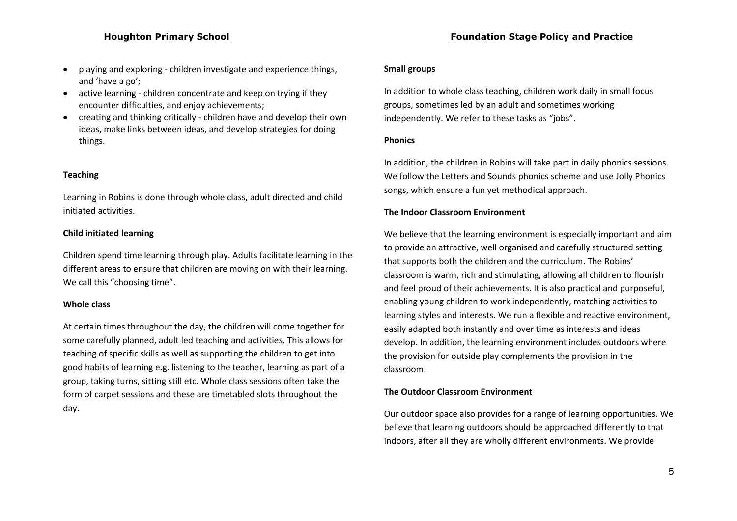- playing and exploring children investigate and experience things, and 'have a go';
- active learning children concentrate and keep on trying if they encounter difficulties, and enjoy achievements;
- creating and thinking critically children have and develop their own ideas, make links between ideas, and develop strategies for doing things.

## **Teaching**

Learning in Robins is done through whole class, adult directed and child initiated activities.

#### **Child initiated learning**

Children spend time learning through play. Adults facilitate learning in the different areas to ensure that children are moving on with their learning. We call this "choosing time".

#### **Whole class**

At certain times throughout the day, the children will come together for some carefully planned, adult led teaching and activities. This allows for teaching of specific skills as well as supporting the children to get into good habits of learning e.g. listening to the teacher, learning as part of a group, taking turns, sitting still etc. Whole class sessions often take the form of carpet sessions and these are timetabled slots throughout the day.

#### **Houghton Primary School Foundation Stage Policy and Practice**

#### **Small groups**

In addition to whole class teaching, children work daily in small focus groups, sometimes led by an adult and sometimes working independently. We refer to these tasks as "jobs".

#### **Phonics**

In addition, the children in Robins will take part in daily phonics sessions. We follow the Letters and Sounds phonics scheme and use Jolly Phonics songs, which ensure a fun yet methodical approach.

#### **The Indoor Classroom Environment**

We believe that the learning environment is especially important and aim to provide an attractive, well organised and carefully structured setting that supports both the children and the curriculum. The Robins' classroom is warm, rich and stimulating, allowing all children to flourish and feel proud of their achievements. It is also practical and purposeful, enabling young children to work independently, matching activities to learning styles and interests. We run a flexible and reactive environment, easily adapted both instantly and over time as interests and ideas develop. In addition, the learning environment includes outdoors where the provision for outside play complements the provision in the classroom.

#### **The Outdoor Classroom Environment**

Our outdoor space also provides for a range of learning opportunities. We believe that learning outdoors should be approached differently to that indoors, after all they are wholly different environments. We provide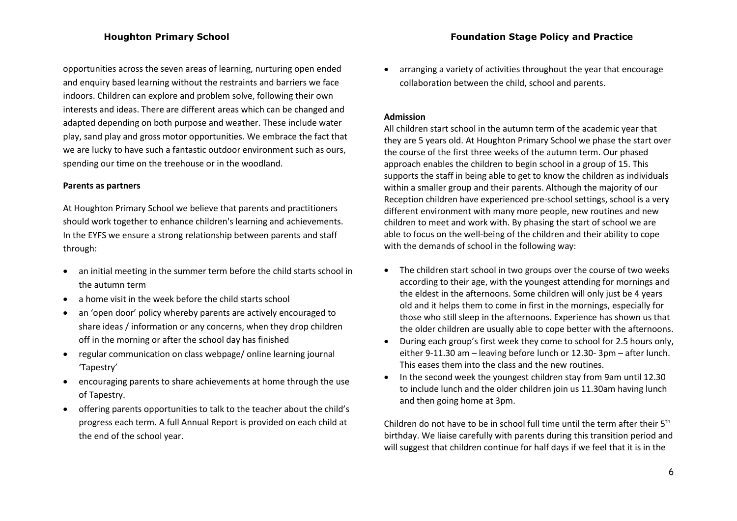opportunities across the seven areas of learning, nurturing open ended and enquiry based learning without the restraints and barriers we face indoors. Children can explore and problem solve, following their own interests and ideas. There are different areas which can be changed and adapted depending on both purpose and weather. These include water play, sand play and gross motor opportunities. We embrace the fact that we are lucky to have such a fantastic outdoor environment such as ours, spending our time on the treehouse or in the woodland.

#### **Parents as partners**

At Houghton Primary School we believe that parents and practitioners should work together to enhance children's learning and achievements. In the EYFS we ensure a strong relationship between parents and staff through:

- an initial meeting in the summer term before the child starts school in the autumn term
- a home visit in the week before the child starts school
- an 'open door' policy whereby parents are actively encouraged to share ideas / information or any concerns, when they drop children off in the morning or after the school day has finished
- regular communication on class webpage/ online learning journal 'Tapestry'
- encouraging parents to share achievements at home through the use of Tapestry.
- offering parents opportunities to talk to the teacher about the child's progress each term. A full Annual Report is provided on each child at the end of the school year.

 arranging a variety of activities throughout the year that encourage collaboration between the child, school and parents.

## **Admission**

All children start school in the autumn term of the academic year that they are 5 years old. At Houghton Primary School we phase the start over the course of the first three weeks of the autumn term. Our phased approach enables the children to begin school in a group of 15. This supports the staff in being able to get to know the children as individuals within a smaller group and their parents. Although the majority of our Reception children have experienced pre-school settings, school is a very different environment with many more people, new routines and new children to meet and work with. By phasing the start of school we are able to focus on the well-being of the children and their ability to cope with the demands of school in the following way:

- The children start school in two groups over the course of two weeks according to their age, with the youngest attending for mornings and the eldest in the afternoons. Some children will only just be 4 years old and it helps them to come in first in the mornings, especially for those who still sleep in the afternoons. Experience has shown us that the older children are usually able to cope better with the afternoons.
- During each group's first week they come to school for 2.5 hours only, either 9-11.30 am – leaving before lunch or 12.30- 3pm – after lunch. This eases them into the class and the new routines.
- In the second week the youngest children stay from 9am until 12.30 to include lunch and the older children join us 11.30am having lunch and then going home at 3pm.

Children do not have to be in school full time until the term after their  $5<sup>th</sup>$ birthday. We liaise carefully with parents during this transition period and will suggest that children continue for half days if we feel that it is in the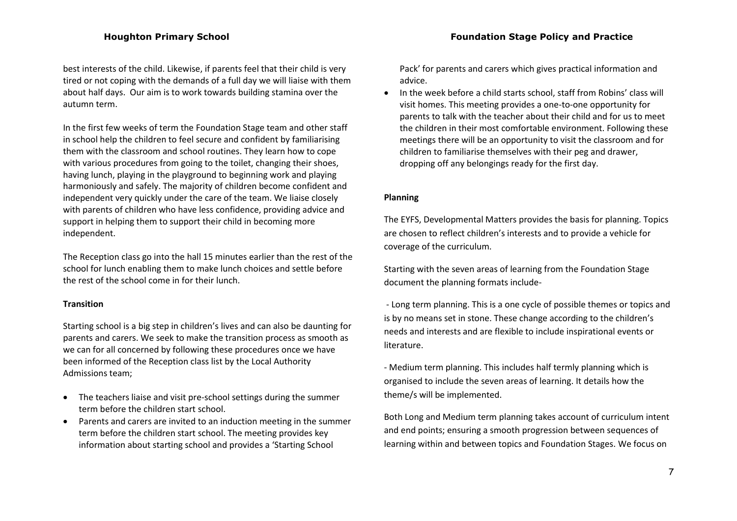best interests of the child. Likewise, if parents feel that their child is very tired or not coping with the demands of a full day we will liaise with them about half days. Our aim is to work towards building stamina over the autumn term.

In the first few weeks of term the Foundation Stage team and other staff in school help the children to feel secure and confident by familiarising them with the classroom and school routines. They learn how to cope with various procedures from going to the toilet, changing their shoes, having lunch, playing in the playground to beginning work and playing harmoniously and safely. The majority of children become confident and independent very quickly under the care of the team. We liaise closely with parents of children who have less confidence, providing advice and support in helping them to support their child in becoming more independent.

The Reception class go into the hall 15 minutes earlier than the rest of the school for lunch enabling them to make lunch choices and settle before the rest of the school come in for their lunch.

## **Transition**

Starting school is a big step in children's lives and can also be daunting for parents and carers. We seek to make the transition process as smooth as we can for all concerned by following these procedures once we have been informed of the Reception class list by the Local Authority Admissions team;

- The teachers liaise and visit pre-school settings during the summer term before the children start school.
- Parents and carers are invited to an induction meeting in the summer term before the children start school. The meeting provides key information about starting school and provides a 'Starting School

Pack' for parents and carers which gives practical information and advice.

• In the week before a child starts school, staff from Robins' class will visit homes. This meeting provides a one-to-one opportunity for parents to talk with the teacher about their child and for us to meet the children in their most comfortable environment. Following these meetings there will be an opportunity to visit the classroom and for children to familiarise themselves with their peg and drawer, dropping off any belongings ready for the first day.

## **Planning**

The EYFS, Developmental Matters provides the basis for planning. Topics are chosen to reflect children's interests and to provide a vehicle for coverage of the curriculum.

Starting with the seven areas of learning from the Foundation Stage document the planning formats include-

- Long term planning. This is a one cycle of possible themes or topics and is by no means set in stone. These change according to the children's needs and interests and are flexible to include inspirational events or literature.

- Medium term planning. This includes half termly planning which is organised to include the seven areas of learning. It details how the theme/s will be implemented.

Both Long and Medium term planning takes account of curriculum intent and end points; ensuring a smooth progression between sequences of learning within and between topics and Foundation Stages. We focus on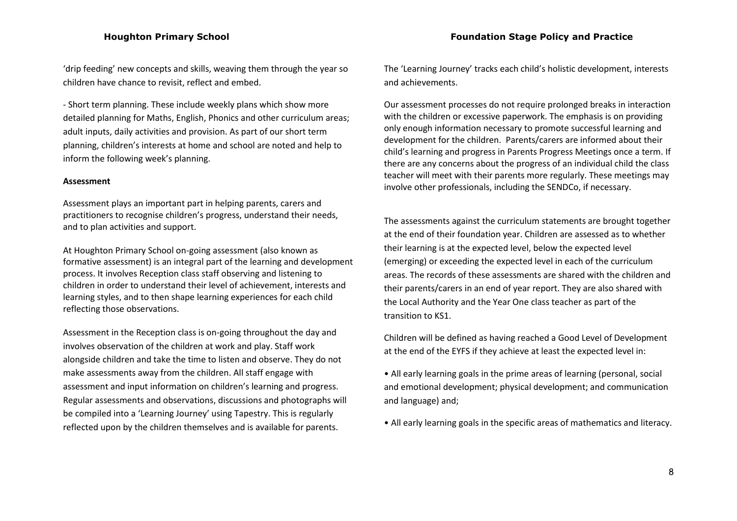'drip feeding' new concepts and skills, weaving them through the year so children have chance to revisit, reflect and embed.

- Short term planning. These include weekly plans which show more detailed planning for Maths, English, Phonics and other curriculum areas; adult inputs, daily activities and provision. As part of our short term planning, children's interests at home and school are noted and help to inform the following week's planning.

#### **Assessment**

Assessment plays an important part in helping parents, carers and practitioners to recognise children's progress, understand their needs, and to plan activities and support.

At Houghton Primary School on-going assessment (also known as formative assessment) is an integral part of the learning and development process. It involves Reception class staff observing and listening to children in order to understand their level of achievement, interests and learning styles, and to then shape learning experiences for each child reflecting those observations.

Assessment in the Reception class is on-going throughout the day and involves observation of the children at work and play. Staff work alongside children and take the time to listen and observe. They do not make assessments away from the children. All staff engage with assessment and input information on children's learning and progress. Regular assessments and observations, discussions and photographs will be compiled into a 'Learning Journey' using Tapestry. This is regularly reflected upon by the children themselves and is available for parents.

The 'Learning Journey' tracks each child's holistic development, interests and achievements.

Our assessment processes do not require prolonged breaks in interaction with the children or excessive paperwork. The emphasis is on providing only enough information necessary to promote successful learning and development for the children. Parents/carers are informed about their child's learning and progress in Parents Progress Meetings once a term. If there are any concerns about the progress of an individual child the class teacher will meet with their parents more regularly. These meetings may involve other professionals, including the SENDCo, if necessary.

The assessments against the curriculum statements are brought together at the end of their foundation year. Children are assessed as to whether their learning is at the expected level, below the expected level (emerging) or exceeding the expected level in each of the curriculum areas. The records of these assessments are shared with the children and their parents/carers in an end of year report. They are also shared with the Local Authority and the Year One class teacher as part of the transition to KS1.

Children will be defined as having reached a Good Level of Development at the end of the EYFS if they achieve at least the expected level in:

- All early learning goals in the prime areas of learning (personal, social and emotional development; physical development; and communication and language) and;
- All early learning goals in the specific areas of mathematics and literacy.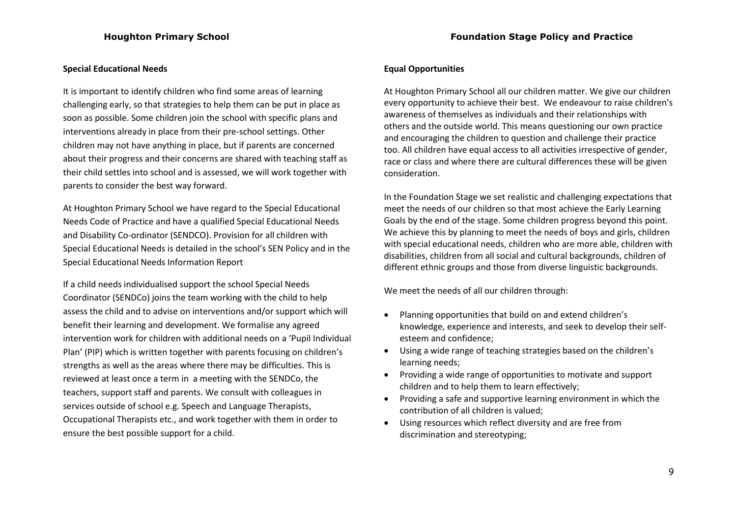## **Special Educational Needs**

It is important to identify children who find some areas of learning challenging early, so that strategies to help them can be put in place as soon as possible. Some children join the school with specific plans and interventions already in place from their pre-school settings. Other children may not have anything in place, but if parents are concerned about their progress and their concerns are shared with teaching staff as their child settles into school and is assessed, we will work together with parents to consider the best way forward.

At Houghton Primary School we have regard to the Special Educational Needs Code of Practice and have a qualified Special Educational Needs and Disability Co-ordinator (SENDCO). Provision for all children with Special Educational Needs is detailed in the school's SEN Policy and in the Special Educational Needs Information Report

If a child needs individualised support the school Special Needs Coordinator (SENDCo) joins the team working with the child to help assess the child and to advise on interventions and/or support which will benefit their learning and development. We formalise any agreed intervention work for children with additional needs on a 'Pupil Individual Plan' (PIP) which is written together with parents focusing on children's strengths as well as the areas where there may be difficulties. This is reviewed at least once a term in a meeting with the SENDCo, the teachers, support staff and parents. We consult with colleagues in services outside of school e.g. Speech and Language Therapists, Occupational Therapists etc., and work together with them in order to ensure the best possible support for a child.

## **Equal Opportunities**

At Houghton Primary School all our children matter. We give our children every opportunity to achieve their best. We endeavour to raise children's awareness of themselves as individuals and their relationships with others and the outside world. This means questioning our own practice and encouraging the children to question and challenge their practice too. All children have equal access to all activities irrespective of gender, race or class and where there are cultural differences these will be given consideration.

In the Foundation Stage we set realistic and challenging expectations that meet the needs of our children so that most achieve the Early Learning Goals by the end of the stage. Some children progress beyond this point. We achieve this by planning to meet the needs of boys and girls, children with special educational needs, children who are more able, children with disabilities, children from all social and cultural backgrounds, children of different ethnic groups and those from diverse linguistic backgrounds.

We meet the needs of all our children through:

- Planning opportunities that build on and extend children's knowledge, experience and interests, and seek to develop their selfesteem and confidence;
- Using a wide range of teaching strategies based on the children's learning needs;
- Providing a wide range of opportunities to motivate and support children and to help them to learn effectively;
- Providing a safe and supportive learning environment in which the contribution of all children is valued;
- Using resources which reflect diversity and are free from discrimination and stereotyping;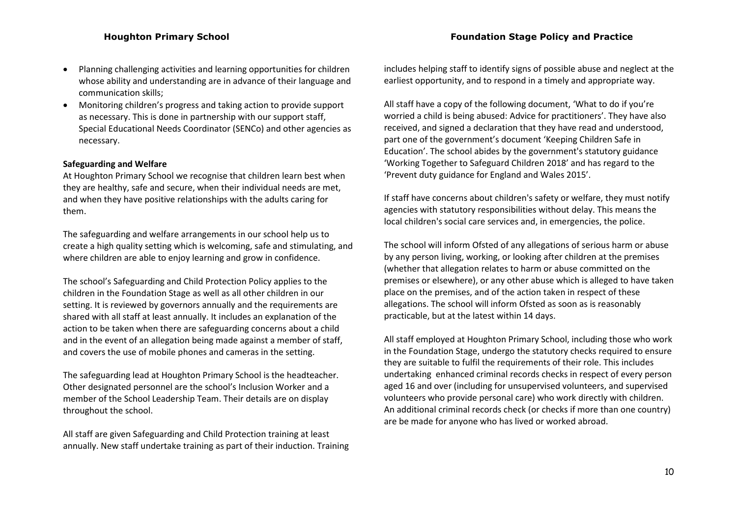- Planning challenging activities and learning opportunities for children whose ability and understanding are in advance of their language and communication skills;
- Monitoring children's progress and taking action to provide support as necessary. This is done in partnership with our support staff, Special Educational Needs Coordinator (SENCo) and other agencies as necessary.

## **Safeguarding and Welfare**

At Houghton Primary School we recognise that children learn best when they are healthy, safe and secure, when their individual needs are met, and when they have positive relationships with the adults caring for them.

The safeguarding and welfare arrangements in our school help us to create a high quality setting which is welcoming, safe and stimulating, and where children are able to enjoy learning and grow in confidence.

The school's Safeguarding and Child Protection Policy applies to the children in the Foundation Stage as well as all other children in our setting. It is reviewed by governors annually and the requirements are shared with all staff at least annually. It includes an explanation of the action to be taken when there are safeguarding concerns about a child and in the event of an allegation being made against a member of staff, and covers the use of mobile phones and cameras in the setting.

The safeguarding lead at Houghton Primary School is the headteacher. Other designated personnel are the school's Inclusion Worker and a member of the School Leadership Team. Their details are on display throughout the school.

All staff are given Safeguarding and Child Protection training at least annually. New staff undertake training as part of their induction. Training includes helping staff to identify signs of possible abuse and neglect at the earliest opportunity, and to respond in a timely and appropriate way.

All staff have a copy of the following document, 'What to do if you're worried a child is being abused: Advice for practitioners'. They have also received, and signed a declaration that they have read and understood, part one of the government's document 'Keeping Children Safe in Education'. The school abides by the government's statutory guidance 'Working Together to Safeguard Children 2018' and has regard to the 'Prevent duty guidance for England and Wales 2015'.

If staff have concerns about children's safety or welfare, they must notify agencies with statutory responsibilities without delay. This means the local children's social care services and, in emergencies, the police.

The school will inform Ofsted of any allegations of serious harm or abuse by any person living, working, or looking after children at the premises (whether that allegation relates to harm or abuse committed on the premises or elsewhere), or any other abuse which is alleged to have taken place on the premises, and of the action taken in respect of these allegations. The school will inform Ofsted as soon as is reasonably practicable, but at the latest within 14 days.

All staff employed at Houghton Primary School, including those who work in the Foundation Stage, undergo the statutory checks required to ensure they are suitable to fulfil the requirements of their role. This includes undertaking enhanced criminal records checks in respect of every person aged 16 and over (including for unsupervised volunteers, and supervised volunteers who provide personal care) who work directly with children. An additional criminal records check (or checks if more than one country) are be made for anyone who has lived or worked abroad.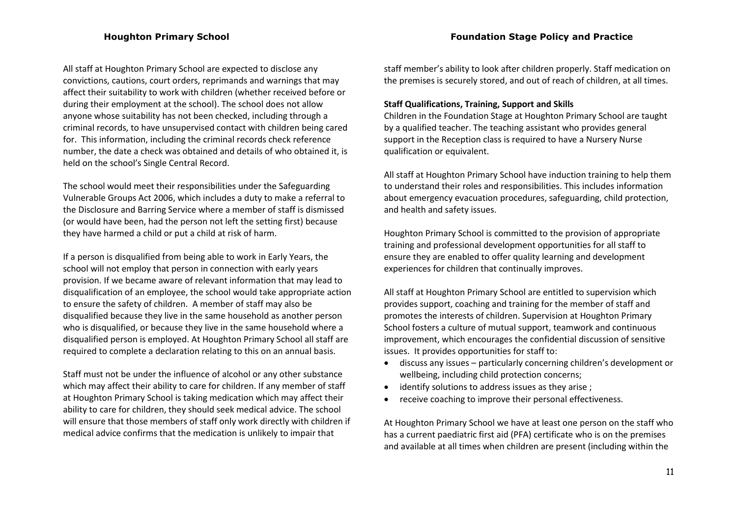All staff at Houghton Primary School are expected to disclose any convictions, cautions, court orders, reprimands and warnings that may affect their suitability to work with children (whether received before or during their employment at the school). The school does not allow anyone whose suitability has not been checked, including through a criminal records, to have unsupervised contact with children being cared for. This information, including the criminal records check reference number, the date a check was obtained and details of who obtained it, is held on the school's Single Central Record.

The school would meet their responsibilities under the Safeguarding Vulnerable Groups Act 2006, which includes a duty to make a referral to the Disclosure and Barring Service where a member of staff is dismissed (or would have been, had the person not left the setting first) because they have harmed a child or put a child at risk of harm.

If a person is disqualified from being able to work in Early Years, the school will not employ that person in connection with early years provision. If we became aware of relevant information that may lead to disqualification of an employee, the school would take appropriate action to ensure the safety of children. A member of staff may also be disqualified because they live in the same household as another person who is disqualified, or because they live in the same household where a disqualified person is employed. At Houghton Primary School all staff are required to complete a declaration relating to this on an annual basis.

Staff must not be under the influence of alcohol or any other substance which may affect their ability to care for children. If any member of staff at Houghton Primary School is taking medication which may affect their ability to care for children, they should seek medical advice. The school will ensure that those members of staff only work directly with children if medical advice confirms that the medication is unlikely to impair that

staff member's ability to look after children properly. Staff medication on the premises is securely stored, and out of reach of children, at all times.

## **Staff Qualifications, Training, Support and Skills**

Children in the Foundation Stage at Houghton Primary School are taught by a qualified teacher. The teaching assistant who provides general support in the Reception class is required to have a Nursery Nurse qualification or equivalent.

All staff at Houghton Primary School have induction training to help them to understand their roles and responsibilities. This includes information about emergency evacuation procedures, safeguarding, child protection, and health and safety issues.

Houghton Primary School is committed to the provision of appropriate training and professional development opportunities for all staff to ensure they are enabled to offer quality learning and development experiences for children that continually improves.

All staff at Houghton Primary School are entitled to supervision which provides support, coaching and training for the member of staff and promotes the interests of children. Supervision at Houghton Primary School fosters a culture of mutual support, teamwork and continuous improvement, which encourages the confidential discussion of sensitive issues. It provides opportunities for staff to:

- discuss any issues particularly concerning children's development or wellbeing, including child protection concerns;
- identify solutions to address issues as they arise ;
- receive coaching to improve their personal effectiveness.

At Houghton Primary School we have at least one person on the staff who has a current paediatric first aid (PFA) certificate who is on the premises and available at all times when children are present (including within the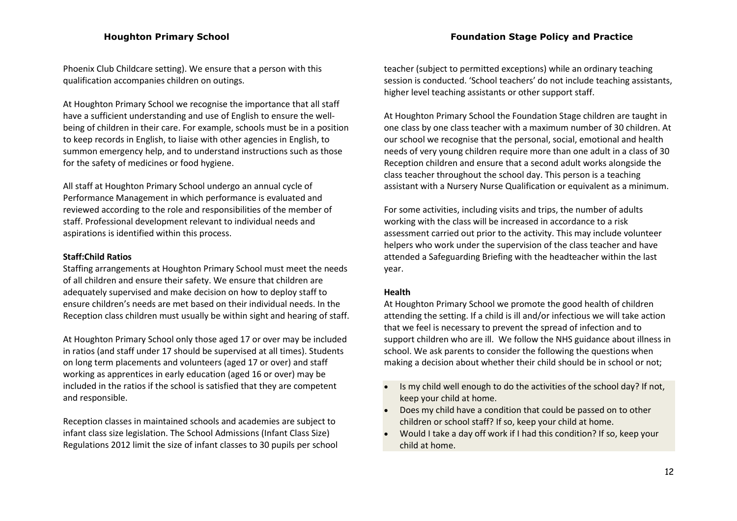Phoenix Club Childcare setting). We ensure that a person with this qualification accompanies children on outings.

At Houghton Primary School we recognise the importance that all staff have a sufficient understanding and use of English to ensure the wellbeing of children in their care. For example, schools must be in a position to keep records in English, to liaise with other agencies in English, to summon emergency help, and to understand instructions such as those for the safety of medicines or food hygiene.

All staff at Houghton Primary School undergo an annual cycle of Performance Management in which performance is evaluated and reviewed according to the role and responsibilities of the member of staff. Professional development relevant to individual needs and aspirations is identified within this process.

#### **Staff:Child Ratios**

Staffing arrangements at Houghton Primary School must meet the needs of all children and ensure their safety. We ensure that children are adequately supervised and make decision on how to deploy staff to ensure children's needs are met based on their individual needs. In the Reception class children must usually be within sight and hearing of staff.

At Houghton Primary School only those aged 17 or over may be included in ratios (and staff under 17 should be supervised at all times). Students on long term placements and volunteers (aged 17 or over) and staff working as apprentices in early education (aged 16 or over) may be included in the ratios if the school is satisfied that they are competent and responsible.

Reception classes in maintained schools and academies are subject to infant class size legislation. The School Admissions (Infant Class Size) Regulations 2012 limit the size of infant classes to 30 pupils per school teacher (subject to permitted exceptions) while an ordinary teaching session is conducted. 'School teachers' do not include teaching assistants, higher level teaching assistants or other support staff.

At Houghton Primary School the Foundation Stage children are taught in one class by one class teacher with a maximum number of 30 children. At our school we recognise that the personal, social, emotional and health needs of very young children require more than one adult in a class of 30 Reception children and ensure that a second adult works alongside the class teacher throughout the school day. This person is a teaching assistant with a Nursery Nurse Qualification or equivalent as a minimum.

For some activities, including visits and trips, the number of adults working with the class will be increased in accordance to a risk assessment carried out prior to the activity. This may include volunteer helpers who work under the supervision of the class teacher and have attended a Safeguarding Briefing with the headteacher within the last year.

#### **Health**

At Houghton Primary School we promote the good health of children attending the setting. If a child is ill and/or infectious we will take action that we feel is necessary to prevent the spread of infection and to support children who are ill. We follow the NHS guidance about illness in school. We ask parents to consider the following the questions when making a decision about whether their child should be in school or not;

- Is my child well enough to do the activities of the school day? If not, keep your child at home.
- Does my child have a condition that could be passed on to other children or school staff? If so, keep your child at home.
- Would I take a day off work if I had this condition? If so, keep your child at home.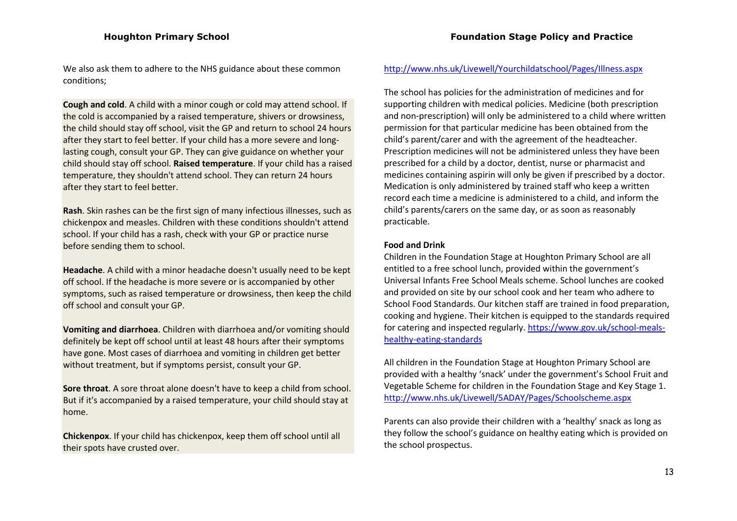We also ask them to adhere to the NHS guidance about these common conditions;

**Cough and cold**. A child with a minor cough or cold may attend school. If the cold is accompanied by a raised temperature, shivers or drowsiness, the child should stay off school, visit the GP and return to school 24 hours after they start to feel better. If your child has a more severe and longlasting cough, consult your GP. They can give guidance on whether your child should stay off school. **Raised temperature**. If your child has a raised temperature, they shouldn't attend school. They can return 24 hours after they start to feel better.

**Rash**. Skin rashes can be the first sign of many infectious illnesses, such as chickenpox and measles. Children with these conditions shouldn't attend school. If your child has a rash, check with your GP or practice nurse before sending them to school.

**Headache**. A child with a minor headache doesn't usually need to be kept off school. If the headache is more severe or is accompanied by other symptoms, such as raised temperature or drowsiness, then keep the child off school and consult your GP.

**Vomiting and diarrhoea**. Children with diarrhoea and/or vomiting should definitely be kept off school until at least 48 hours after their symptoms have gone. Most cases of [diarrhoea and vomiting in children](http://www.nhs.uk/Conditions/Rotavirus-gastroenteritis/Pages/Introduction-OLD.aspx) get better without treatment, but if symptoms persist, consult your GP.

**Sore throat**. A sore throat alone doesn't have to keep a child from school. But if it's accompanied by a raised temperature, your child should stay at home.

**Chickenpox**. If your child has chickenpox, keep them off school until all their spots have crusted over.

#### <http://www.nhs.uk/Livewell/Yourchildatschool/Pages/Illness.aspx>

The school has policies for the administration of medicines and for supporting children with medical policies. Medicine (both prescription and non-prescription) will only be administered to a child where written permission for that particular medicine has been obtained from the child's parent/carer and with the agreement of the headteacher. Prescription medicines will not be administered unless they have been prescribed for a child by a doctor, dentist, nurse or pharmacist and medicines containing aspirin will only be given if prescribed by a doctor. Medication is only administered by trained staff who keep a written record each time a medicine is administered to a child, and inform the child's parents/carers on the same day, or as soon as reasonably practicable.

#### **Food and Drink**

Children in the Foundation Stage at Houghton Primary School are all entitled to a free school lunch, provided within the government's Universal Infants Free School Meals scheme. School lunches are cooked and provided on site by our school cook and her team who adhere to School Food Standards. Our kitchen staff are trained in food preparation, cooking and hygiene. Their kitchen is equipped to the standards required for catering and inspected regularly. [https://www.gov.uk/school-meals](https://www.gov.uk/school-meals-healthy-eating-standards)[healthy-eating-standards](https://www.gov.uk/school-meals-healthy-eating-standards)

All children in the Foundation Stage at Houghton Primary School are provided with a healthy 'snack' under the government's School Fruit and Vegetable Scheme for children in the Foundation Stage and Key Stage 1. <http://www.nhs.uk/Livewell/5ADAY/Pages/Schoolscheme.aspx>

Parents can also provide their children with a 'healthy' snack as long as they follow the school's guidance on healthy eating which is provided on the school prospectus.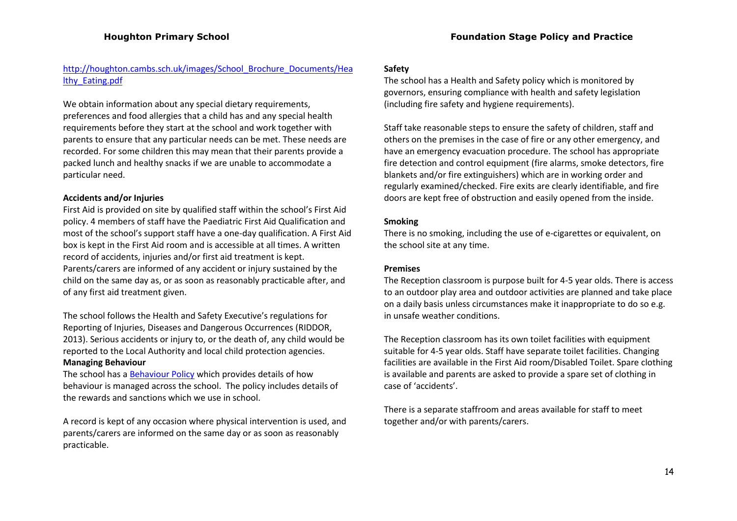# [http://houghton.cambs.sch.uk/images/School\\_Brochure\\_Documents/Hea](http://houghton.cambs.sch.uk/images/School_Brochure_Documents/Healthy_Eating.pdf) [lthy\\_Eating.pdf](http://houghton.cambs.sch.uk/images/School_Brochure_Documents/Healthy_Eating.pdf)

We obtain information about any special dietary requirements, preferences and food allergies that a child has and any special health requirements before they start at the school and work together with parents to ensure that any particular needs can be met. These needs are recorded. For some children this may mean that their parents provide a packed lunch and healthy snacks if we are unable to accommodate a particular need.

## **Accidents and/or Injuries**

First Aid is provided on site by qualified staff within the school's First Aid policy. 4 members of staff have the Paediatric First Aid Qualification and most of the school's support staff have a one-day qualification. A First Aid box is kept in the First Aid room and is accessible at all times. A written record of accidents, injuries and/or first aid treatment is kept. Parents/carers are informed of any accident or injury sustained by the child on the same day as, or as soon as reasonably practicable after, and of any first aid treatment given.

The school follows the Health and Safety Executive's regulations for Reporting of Injuries, Diseases and Dangerous Occurrences (RIDDOR, 2013). Serious accidents or injury to, or the death of, any child would be reported to the Local Authority and local child protection agencies.

## **Managing Behaviour**

The school has a **Behaviour Policy** which provides details of how behaviour is managed across the school. The policy includes details of the rewards and sanctions which we use in school.

A record is kept of any occasion where physical intervention is used, and parents/carers are informed on the same day or as soon as reasonably practicable.

## **Safety**

The school has a Health and Safety policy which is monitored by governors, ensuring compliance with health and safety legislation (including fire safety and hygiene requirements).

Staff take reasonable steps to ensure the safety of children, staff and others on the premises in the case of fire or any other emergency, and have an emergency evacuation procedure. The school has appropriate fire detection and control equipment (fire alarms, smoke detectors, fire blankets and/or fire extinguishers) which are in working order and regularly examined/checked. Fire exits are clearly identifiable, and fire doors are kept free of obstruction and easily opened from the inside.

## **Smoking**

There is no smoking, including the use of e-cigarettes or equivalent, on the school site at any time.

## **Premises**

The Reception classroom is purpose built for 4-5 year olds. There is access to an outdoor play area and outdoor activities are planned and take place on a daily basis unless circumstances make it inappropriate to do so e.g. in unsafe weather conditions.

The Reception classroom has its own toilet facilities with equipment suitable for 4-5 year olds. Staff have separate toilet facilities. Changing facilities are available in the First Aid room/Disabled Toilet. Spare clothing is available and parents are asked to provide a spare set of clothing in case of 'accidents'.

There is a separate staffroom and areas available for staff to meet together and/or with parents/carers.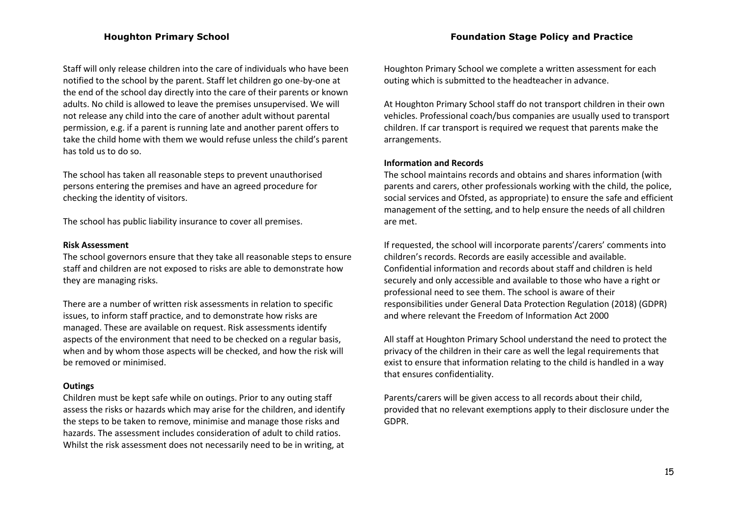Staff will only release children into the care of individuals who have been notified to the school by the parent. Staff let children go one-by-one at the end of the school day directly into the care of their parents or known adults. No child is allowed to leave the premises unsupervised. We will not release any child into the care of another adult without parental permission, e.g. if a parent is running late and another parent offers to take the child home with them we would refuse unless the child's parent has told us to do so.

The school has taken all reasonable steps to prevent unauthorised persons entering the premises and have an agreed procedure for checking the identity of visitors.

The school has public liability insurance to cover all premises.

#### **Risk Assessment**

The school governors ensure that they take all reasonable steps to ensure staff and children are not exposed to risks are able to demonstrate how they are managing risks.

There are a number of written risk assessments in relation to specific issues, to inform staff practice, and to demonstrate how risks are managed. These are available on request. Risk assessments identify aspects of the environment that need to be checked on a regular basis, when and by whom those aspects will be checked, and how the risk will be removed or minimised.

#### **Outings**

Children must be kept safe while on outings. Prior to any outing staff assess the risks or hazards which may arise for the children, and identify the steps to be taken to remove, minimise and manage those risks and hazards. The assessment includes consideration of adult to child ratios. Whilst the risk assessment does not necessarily need to be in writing, at Houghton Primary School we complete a written assessment for each outing which is submitted to the headteacher in advance.

At Houghton Primary School staff do not transport children in their own vehicles. Professional coach/bus companies are usually used to transport children. If car transport is required we request that parents make the arrangements.

#### **Information and Records**

The school maintains records and obtains and shares information (with parents and carers, other professionals working with the child, the police, social services and Ofsted, as appropriate) to ensure the safe and efficient management of the setting, and to help ensure the needs of all children are met.

If requested, the school will incorporate parents'/carers' comments into children's records. Records are easily accessible and available. Confidential information and records about staff and children is held securely and only accessible and available to those who have a right or professional need to see them. The school is aware of their responsibilities under General Data Protection Regulation (2018) (GDPR) and where relevant the Freedom of Information Act 2000

All staff at Houghton Primary School understand the need to protect the privacy of the children in their care as well the legal requirements that exist to ensure that information relating to the child is handled in a way that ensures confidentiality.

Parents/carers will be given access to all records about their child, provided that no relevant exemptions apply to their disclosure under the GDPR.